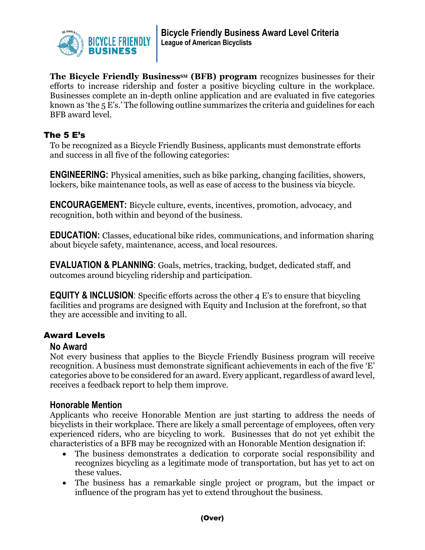

**The Bicycle Friendly Business<sup>SM</sup>** (BFB) program recognizes businesses for their efforts to increase ridership and foster a positive bicycling culture in the workplace. Businesses complete an in-depth online application and are evaluated in five categories known as 'the 5 E's.' The following outline summarizes the criteria and guidelines for each BFB award level.

### The 5 E's

To be recognized as a Bicycle Friendly Business, applicants must demonstrate efforts and success in all five of the following categories:

**ENGINEERING:** Physical amenities, such as bike parking, changing facilities, showers, lockers, bike maintenance tools, as well as ease of access to the business via bicycle.

**ENCOURAGEMENT:** Bicycle culture, events, incentives, promotion, advocacy, and recognition, both within and beyond of the business.

**EDUCATION:** Classes, educational bike rides, communications, and information sharing about bicycle safety, maintenance, access, and local resources.

**EVALUATION & PLANNING**: Goals, metrics, tracking, budget, dedicated staff, and outcomes around bicycling ridership and participation.

**EQUITY & INCLUSION**: Specific efforts across the other 4 E's to ensure that bicycling facilities and programs are designed with Equity and Inclusion at the forefront, so that they are accessible and inviting to all.

## Award Levels

#### **No Award**

Not every business that applies to the Bicycle Friendly Business program will receive recognition. A business must demonstrate significant achievements in each of the five 'E' categories above to be considered for an award. Every applicant, regardless of award level, receives a feedback report to help them improve.

#### **Honorable Mention**

Applicants who receive Honorable Mention are just starting to address the needs of bicyclists in their workplace. There are likely a small percentage of employees, often very experienced riders, who are bicycling to work. Businesses that do not yet exhibit the characteristics of a BFB may be recognized with an Honorable Mention designation if:

- The business demonstrates a dedication to corporate social responsibility and recognizes bicycling as a legitimate mode of transportation, but has yet to act on these values.
- The business has a remarkable single project or program, but the impact or influence of the program has yet to extend throughout the business.